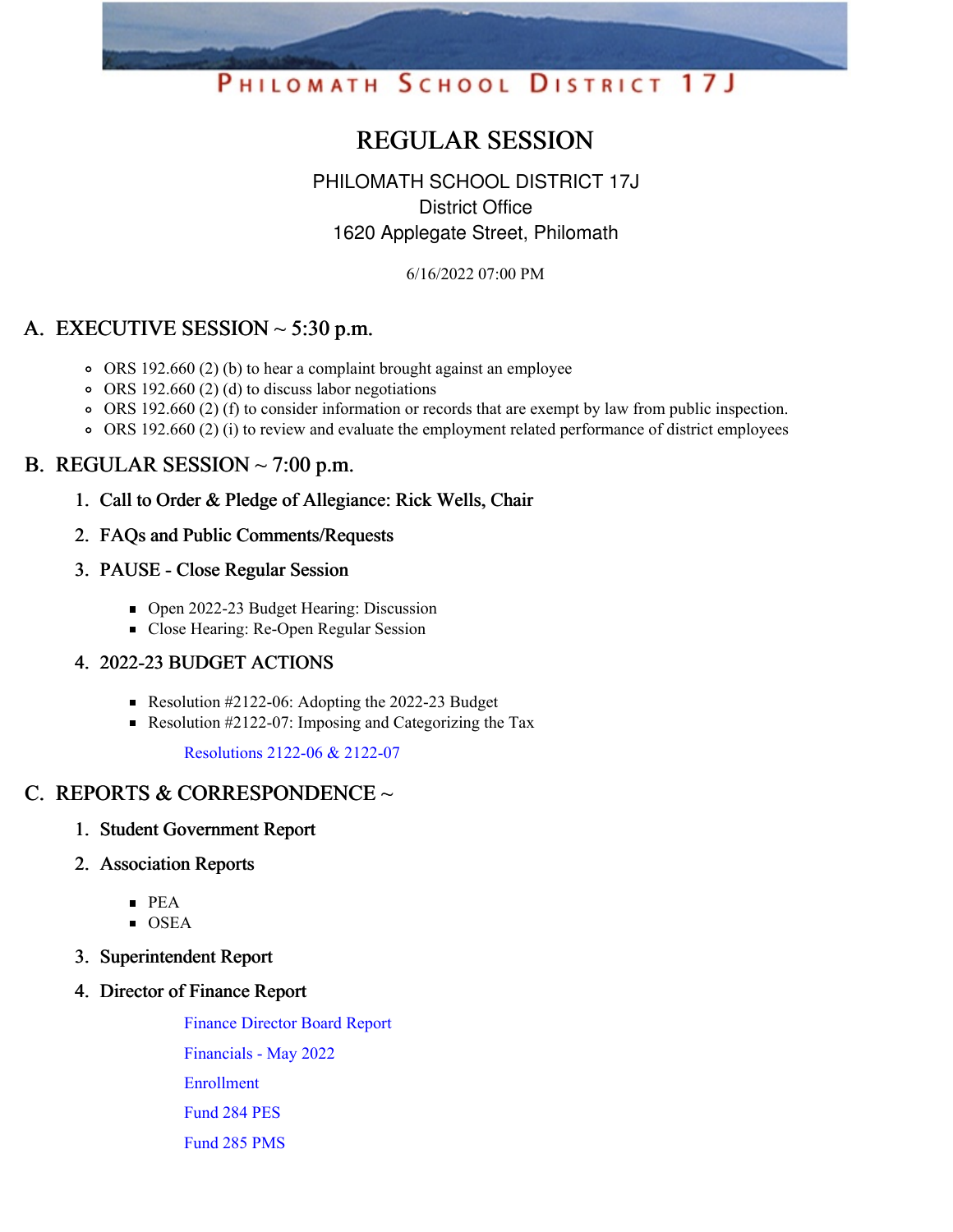# PHILOMATH SCHOOL DISTRICT 17J

# REGULAR SESSION

# PHILOMATH SCHOOL DISTRICT 17J District Office 1620 Applegate Street, Philomath

6/16/2022 07:00 PM

# A. EXECUTIVE SESSION  $\sim$  5:30 p.m.

- ORS 192.660 (2) (b) to hear a complaint brought against an employee
- $\circ$  ORS 192.660 (2) (d) to discuss labor negotiations
- ORS 192.660 (2) (f) to consider information or records that are exempt by law from public inspection.
- ORS 192.660 (2) (i) to review and evaluate the employment related performance of district employees

#### B. REGULAR SESSION  $\sim$  7:00 p.m.

- 1. Call to Order & Pledge of Allegiance: Rick Wells, Chair
- 2. FAQs and Public Comments/Requests
- 3. PAUSE Close Regular Session
	- Open 2022-23 Budget Hearing: Discussion
	- Close Hearing: Re-Open Regular Session

#### 4. 2022-23 BUDGET ACTIONS

- Resolution #2122-06: Adopting the 2022-23 Budget
- Resolution  $\#2122-07$ : Imposing and Categorizing the Tax

[Resolutions](https://app.eduportal.com/documents/view/835859) 2122-06 & 2122-07

## C. REPORTS & CORRESPONDENCE  $\sim$

#### 1. Student Government Report

- 2. Association Reports
	- $PEA$
	- **OSEA**
- 3. Superintendent Report
- 4. Director of Finance Report

Finance [Director](https://app.eduportal.com/documents/view/835860) Board Report [Financials](https://app.eduportal.com/documents/view/835858) - May 2022 [Enrollment](https://app.eduportal.com/documents/view/835847) [Fund](https://app.eduportal.com/documents/view/835849) 284 PES [Fund](https://app.eduportal.com/documents/view/835848) 285 PMS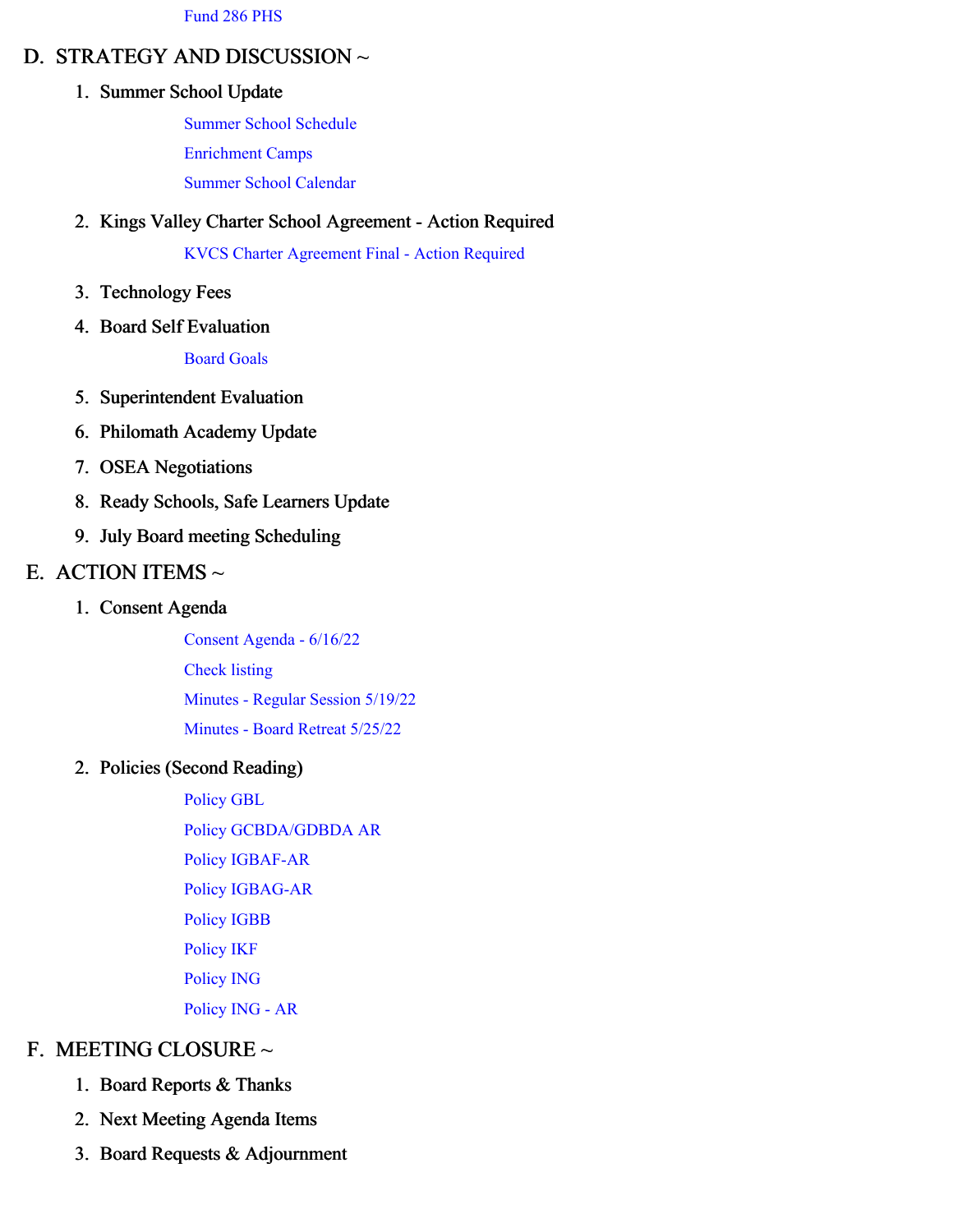[Fund](https://app.eduportal.com/documents/view/835850) 286 PHS

# D. STRATEGY AND DISCUSSION  $\sim$

#### 1. Summer School Update

Summer School [Schedule](https://app.eduportal.com/documents/view/836027) [Enrichment](https://app.eduportal.com/documents/view/836024) Camps Summer School [Calendar](https://app.eduportal.com/documents/view/836023)

2. Kings Valley Charter School Agreement - Action Required

KVCS Charter [Agreement](https://app.eduportal.com/documents/view/836220) Final - Action Required

- 3. Technology Fees
- 4. Board Self Evaluation

[Board](https://app.eduportal.com/documents/view/836028) Goals

- 5. Superintendent Evaluation
- 6. Philomath Academy Update
- 7. OSEA Negotiations
- 8. Ready Schools, Safe Learners Update
- 9. July Board meeting Scheduling

## E. ACTION ITEMS  $\sim$

1. Consent Agenda

[Consent](https://app.eduportal.com/documents/view/836221) Agenda - 6/16/22 [Check](https://app.eduportal.com/documents/view/835851) listing [Minutes](https://app.eduportal.com/documents/view/836158) - Regular Session 5/19/22 [Minutes](https://app.eduportal.com/documents/view/835855) - Board Retreat 5/25/22

#### 2. Policies (Second Reading)

[Policy](https://app.eduportal.com/documents/view/836039) GBL Policy [GCBDA/GDBDA](https://app.eduportal.com/documents/view/836159) AR Policy [IGBAF-AR](https://app.eduportal.com/documents/view/836037) Policy [IGBAG-AR](https://app.eduportal.com/documents/view/836038) [Policy](https://app.eduportal.com/documents/view/836036) IGBB [Policy](https://app.eduportal.com/documents/view/836029) IKF [Policy](https://app.eduportal.com/documents/view/836252) ING [Policy](https://app.eduportal.com/documents/view/836253) ING - AR

## F. MEETING CLOSURE ~

- 1. Board Reports & Thanks
- 2. Next Meeting Agenda Items
- 3. Board Requests & Adjournment